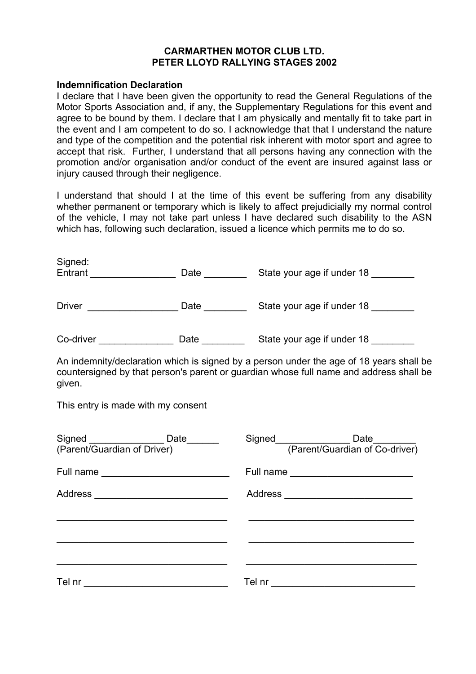## **CARMARTHEN MOTOR CLUB LTD. PETER LLOYD RALLYING STAGES 2002**

#### **Indemnification Declaration**

I declare that I have been given the opportunity to read the General Regulations of the Motor Sports Association and, if any, the Supplementary Regulations for this event and agree to be bound by them. I declare that I am physically and mentally fit to take part in the event and I am competent to do so. I acknowledge that that I understand the nature and type of the competition and the potential risk inherent with motor sport and agree to accept that risk. Further, I understand that all persons having any connection with the promotion and/or organisation and/or conduct of the event are insured against lass or injury caused through their negligence.

I understand that should I at the time of this event be suffering from any disability whether permanent or temporary which is likely to affect prejudicially my normal control of the vehicle, I may not take part unless I have declared such disability to the ASN which has, following such declaration, issued a licence which permits me to do so.

| Signed:<br>Entrant | Date | State your age if under 18 |
|--------------------|------|----------------------------|
| <b>Driver</b>      | Date | State your age if under 18 |
| Co-driver          | Date | State your age if under 18 |

An indemnity/declaration which is signed by a person under the age of 18 years shall be countersigned by that person's parent or guardian whose full name and address shall be given.

This entry is made with my consent

| Signed _________________D<br>(Parent/Guardian of Driver) | Date______                                        | Signed Connection (Parent/Guardian of Co-driver) |  |
|----------------------------------------------------------|---------------------------------------------------|--------------------------------------------------|--|
|                                                          |                                                   |                                                  |  |
|                                                          |                                                   | Address ___________________________              |  |
|                                                          |                                                   |                                                  |  |
|                                                          |                                                   |                                                  |  |
|                                                          |                                                   |                                                  |  |
| Tel nr                                                   | <u> 1989 - Johann Barbara, martxa alemaniar a</u> |                                                  |  |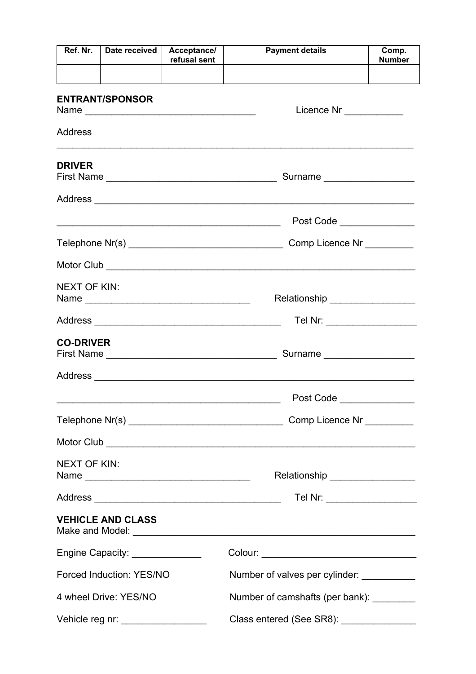| Ref. Nr.            | Date received                      | Acceptance/<br>refusal sent | <b>Payment details</b>                                                                                                 | Comp.<br><b>Number</b> |  |  |
|---------------------|------------------------------------|-----------------------------|------------------------------------------------------------------------------------------------------------------------|------------------------|--|--|
|                     |                                    |                             |                                                                                                                        |                        |  |  |
|                     | <b>ENTRANT/SPONSOR</b>             |                             | Licence Nr ___________                                                                                                 |                        |  |  |
| Address             |                                    |                             |                                                                                                                        |                        |  |  |
| <b>DRIVER</b>       |                                    |                             | Surname                                                                                                                |                        |  |  |
|                     |                                    |                             |                                                                                                                        |                        |  |  |
|                     |                                    |                             | Post Code <b>Propriate Service</b> Propriate Service Service Service Service Service Service Service Service Service S |                        |  |  |
|                     |                                    |                             | Comp Licence Nr _________                                                                                              |                        |  |  |
|                     |                                    |                             |                                                                                                                        |                        |  |  |
| <b>NEXT OF KIN:</b> |                                    |                             |                                                                                                                        |                        |  |  |
|                     |                                    |                             | Tel Nr: ____________________                                                                                           |                        |  |  |
| <b>CO-DRIVER</b>    |                                    |                             | Surname                                                                                                                |                        |  |  |
|                     |                                    |                             |                                                                                                                        |                        |  |  |
|                     |                                    |                             | Post Code                                                                                                              |                        |  |  |
|                     |                                    |                             |                                                                                                                        |                        |  |  |
|                     |                                    |                             |                                                                                                                        |                        |  |  |
| <b>NEXT OF KIN:</b> |                                    |                             | Relationship _________________                                                                                         |                        |  |  |
|                     |                                    |                             | Tel Nr: ___________________                                                                                            |                        |  |  |
|                     | <b>VEHICLE AND CLASS</b>           |                             |                                                                                                                        |                        |  |  |
|                     | Engine Capacity: _______________   |                             | Colour: __________________________________                                                                             |                        |  |  |
|                     | Forced Induction: YES/NO           |                             | Number of valves per cylinder:                                                                                         |                        |  |  |
|                     | 4 wheel Drive: YES/NO              |                             | Number of camshafts (per bank): _________                                                                              |                        |  |  |
|                     | Vehicle reg nr: __________________ |                             | Class entered (See SR8): ________________                                                                              |                        |  |  |